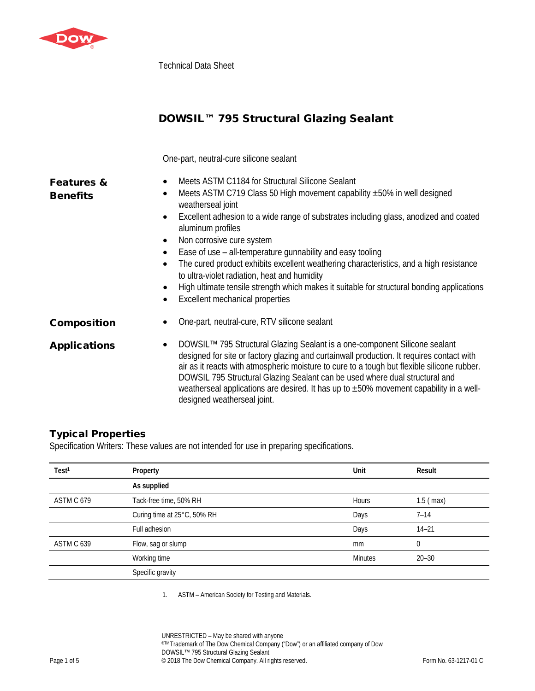

Technical Data Sheet

# DOWSIL™ 795 Structural Glazing Sealant

One-part, neutral-cure silicone sealant

| <b>Features &amp;</b><br><b>Benefits</b> | Meets ASTM C1184 for Structural Silicone Sealant<br>$\bullet$<br>Meets ASTM C719 Class 50 High movement capability $\pm$ 50% in well designed<br>$\bullet$<br>weatherseal joint<br>Excellent adhesion to a wide range of substrates including glass, anodized and coated<br>$\bullet$<br>aluminum profiles<br>Non corrosive cure system<br>$\bullet$<br>Ease of use - all-temperature gunnability and easy tooling<br>$\bullet$<br>The cured product exhibits excellent weathering characteristics, and a high resistance<br>$\bullet$<br>to ultra-violet radiation, heat and humidity<br>High ultimate tensile strength which makes it suitable for structural bonding applications<br>$\bullet$<br>Excellent mechanical properties<br>$\bullet$ |
|------------------------------------------|---------------------------------------------------------------------------------------------------------------------------------------------------------------------------------------------------------------------------------------------------------------------------------------------------------------------------------------------------------------------------------------------------------------------------------------------------------------------------------------------------------------------------------------------------------------------------------------------------------------------------------------------------------------------------------------------------------------------------------------------------|
| <b>Composition</b>                       | One-part, neutral-cure, RTV silicone sealant                                                                                                                                                                                                                                                                                                                                                                                                                                                                                                                                                                                                                                                                                                      |
| <b>Applications</b>                      | DOWSIL™ 795 Structural Glazing Sealant is a one-component Silicone sealant<br>$\bullet$<br>designed for site or factory glazing and curtainwall production. It requires contact with<br>air as it reacts with atmospheric moisture to cure to a tough but flexible silicone rubber.<br>DOWSIL 795 Structural Glazing Sealant can be used where dual structural and<br>weatherseal applications are desired. It has up to ±50% movement capability in a well-<br>designed weatherseal joint.                                                                                                                                                                                                                                                       |

## Typical Properties

Specification Writers: These values are not intended for use in preparing specifications.

| Test <sup>1</sup> | Property                    | Unit           | Result      |
|-------------------|-----------------------------|----------------|-------------|
|                   | As supplied                 |                |             |
| ASTM C 679        | Tack-free time, 50% RH      | <b>Hours</b>   | $1.5$ (max) |
|                   | Curing time at 25°C, 50% RH | Days           | $7 - 14$    |
|                   | Full adhesion               | Days           | $14 - 21$   |
| ASTM C 639        | Flow, sag or slump          | mm             | $\mathbf 0$ |
|                   | Working time                | <b>Minutes</b> | $20 - 30$   |
|                   | Specific gravity            |                |             |
|                   |                             |                |             |

1. ASTM – American Society for Testing and Materials.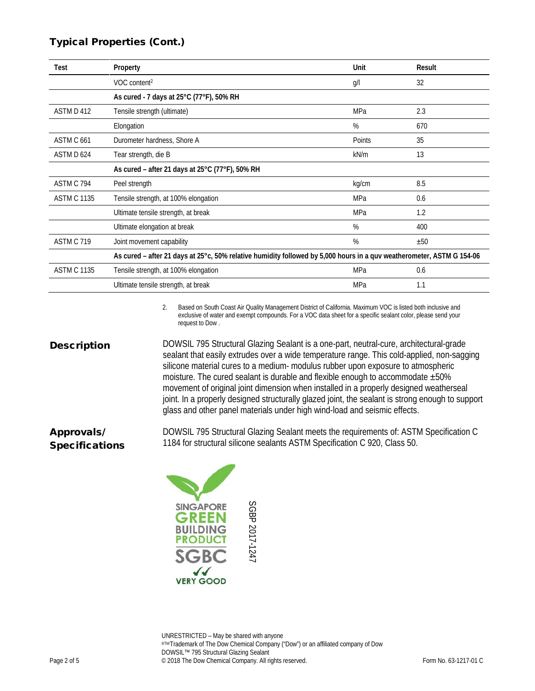### Typical Properties (Cont.)

| <b>Test</b>        | Property                                                                                                              | Unit   | Result |
|--------------------|-----------------------------------------------------------------------------------------------------------------------|--------|--------|
|                    | VOC content <sup>2</sup>                                                                                              | g/l    | 32     |
|                    | As cured - 7 days at 25°C (77°F), 50% RH                                                                              |        |        |
| ASTM D 412         | Tensile strength (ultimate)                                                                                           | MPa    | 2.3    |
|                    | Elongation                                                                                                            | %      | 670    |
| ASTM C 661         | Durometer hardness, Shore A                                                                                           | Points | 35     |
| ASTM D 624         | Tear strength, die B                                                                                                  | kN/m   | 13     |
|                    | As cured - after 21 days at 25°C (77°F), 50% RH                                                                       |        |        |
| ASTM C 794         | Peel strength                                                                                                         | kg/cm  | 8.5    |
| <b>ASTM C 1135</b> | Tensile strength, at 100% elongation                                                                                  | MPa    | 0.6    |
|                    | Ultimate tensile strength, at break                                                                                   | MPa    | 1.2    |
|                    | Ultimate elongation at break                                                                                          | %      | 400    |
| ASTM C 719         | Joint movement capability                                                                                             | %      | ±50    |
|                    | As cured – after 21 days at 25°c, 50% relative humidity followed by 5,000 hours in a quv weatherometer, ASTM G 154-06 |        |        |
| <b>ASTM C 1135</b> | Tensile strength, at 100% elongation                                                                                  | MPa    | 0.6    |
|                    | Ultimate tensile strength, at break                                                                                   | MPa    | 1.1    |

2. Based on South Coast Air Quality Management District of California. Maximum VOC is listed both inclusive and exclusive of water and exempt compounds. For a VOC data sheet for a specific sealant color, please send your request to Dow .

**Description** DOWSIL 795 Structural Glazing Sealant is a one-part, neutral-cure, architectural-grade sealant that easily extrudes over a wide temperature range. This cold-applied, non-sagging silicone material cures to a medium- modulus rubber upon exposure to atmospheric moisture. The cured sealant is durable and flexible enough to accommodate ±50% movement of original joint dimension when installed in a properly designed weatherseal joint. In a properly designed structurally glazed joint, the sealant is strong enough to support glass and other panel materials under high wind-load and seismic effects.

> DOWSIL 795 Structural Glazing Sealant meets the requirements of: ASTM Specification C 1184 for structural silicone sealants ASTM Specification C 920, Class 50.



Approvals/ Specifications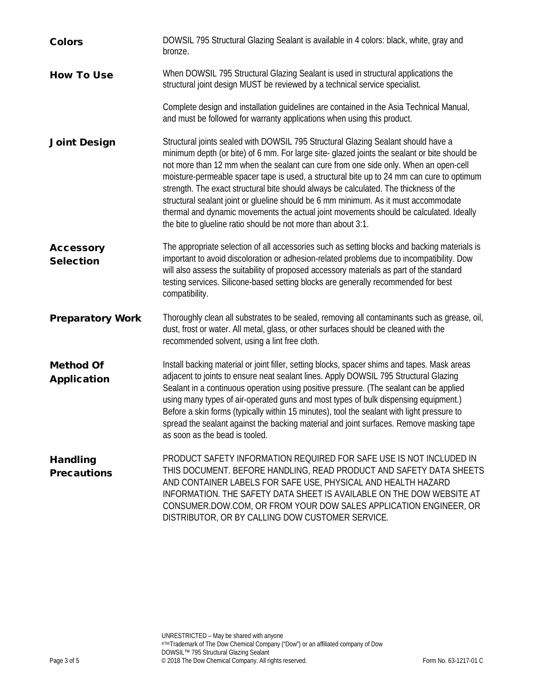| <b>Colors</b>                          | DOWSIL 795 Structural Glazing Sealant is available in 4 colors: black, white, gray and<br>bronze.                                                                                                                                                                                                                                                                                                                                                                                                                                                                                                                                                                                                               |
|----------------------------------------|-----------------------------------------------------------------------------------------------------------------------------------------------------------------------------------------------------------------------------------------------------------------------------------------------------------------------------------------------------------------------------------------------------------------------------------------------------------------------------------------------------------------------------------------------------------------------------------------------------------------------------------------------------------------------------------------------------------------|
| <b>How To Use</b>                      | When DOWSIL 795 Structural Glazing Sealant is used in structural applications the<br>structural joint design MUST be reviewed by a technical service specialist.                                                                                                                                                                                                                                                                                                                                                                                                                                                                                                                                                |
|                                        | Complete design and installation guidelines are contained in the Asia Technical Manual,<br>and must be followed for warranty applications when using this product.                                                                                                                                                                                                                                                                                                                                                                                                                                                                                                                                              |
| <b>Joint Design</b>                    | Structural joints sealed with DOWSIL 795 Structural Glazing Sealant should have a<br>minimum depth (or bite) of 6 mm. For large site-glazed joints the sealant or bite should be<br>not more than 12 mm when the sealant can cure from one side only. When an open-cell<br>moisture-permeable spacer tape is used, a structural bite up to 24 mm can cure to optimum<br>strength. The exact structural bite should always be calculated. The thickness of the<br>structural sealant joint or glueline should be 6 mm minimum. As it must accommodate<br>thermal and dynamic movements the actual joint movements should be calculated. Ideally<br>the bite to glueline ratio should be not more than about 3:1. |
| <b>Accessory</b><br><b>Selection</b>   | The appropriate selection of all accessories such as setting blocks and backing materials is<br>important to avoid discoloration or adhesion-related problems due to incompatibility. Dow<br>will also assess the suitability of proposed accessory materials as part of the standard<br>testing services. Silicone-based setting blocks are generally recommended for best<br>compatibility.                                                                                                                                                                                                                                                                                                                   |
| <b>Preparatory Work</b>                | Thoroughly clean all substrates to be sealed, removing all contaminants such as grease, oil,<br>dust, frost or water. All metal, glass, or other surfaces should be cleaned with the<br>recommended solvent, using a lint free cloth.                                                                                                                                                                                                                                                                                                                                                                                                                                                                           |
| <b>Method Of</b><br><b>Application</b> | Install backing material or joint filler, setting blocks, spacer shims and tapes. Mask areas<br>adjacent to joints to ensure neat sealant lines. Apply DOWSIL 795 Structural Glazing<br>Sealant in a continuous operation using positive pressure. (The sealant can be applied<br>using many types of air-operated guns and most types of bulk dispensing equipment.)<br>Before a skin forms (typically within 15 minutes), tool the sealant with light pressure to<br>spread the sealant against the backing material and joint surfaces. Remove masking tape<br>as soon as the bead is tooled.                                                                                                                |
| <b>Handling</b><br><b>Precautions</b>  | PRODUCT SAFETY INFORMATION REQUIRED FOR SAFE USE IS NOT INCLUDED IN<br>THIS DOCUMENT. BEFORE HANDLING, READ PRODUCT AND SAFETY DATA SHEETS<br>AND CONTAINER LABELS FOR SAFE USE, PHYSICAL AND HEALTH HAZARD<br>INFORMATION. THE SAFETY DATA SHEET IS AVAILABLE ON THE DOW WEBSITE AT<br>CONSUMER.DOW.COM, OR FROM YOUR DOW SALES APPLICATION ENGINEER, OR<br>DISTRIBUTOR, OR BY CALLING DOW CUSTOMER SERVICE.                                                                                                                                                                                                                                                                                                   |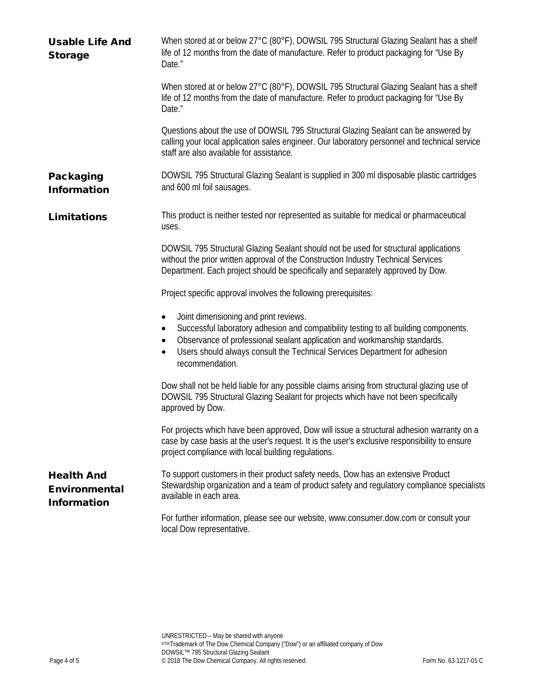| <b>Usable Life And</b><br><b>Storage</b>                        | When stored at or below 27°C (80°F), DOWSIL 795 Structural Glazing Sealant has a shelf<br>life of 12 months from the date of manufacture. Refer to product packaging for "Use By<br>Date."                                                                                                                                                      |
|-----------------------------------------------------------------|-------------------------------------------------------------------------------------------------------------------------------------------------------------------------------------------------------------------------------------------------------------------------------------------------------------------------------------------------|
|                                                                 | When stored at or below 27°C (80°F), DOWSIL 795 Structural Glazing Sealant has a shelf<br>life of 12 months from the date of manufacture. Refer to product packaging for "Use By<br>Date."                                                                                                                                                      |
|                                                                 | Questions about the use of DOWSIL 795 Structural Glazing Sealant can be answered by<br>calling your local application sales engineer. Our laboratory personnel and technical service<br>staff are also available for assistance.                                                                                                                |
| <b>Packaging</b><br><b>Information</b>                          | DOWSIL 795 Structural Glazing Sealant is supplied in 300 ml disposable plastic cartridges<br>and 600 ml foil sausages.                                                                                                                                                                                                                          |
| <b>Limitations</b>                                              | This product is neither tested nor represented as suitable for medical or pharmaceutical<br>uses.                                                                                                                                                                                                                                               |
|                                                                 | DOWSIL 795 Structural Glazing Sealant should not be used for structural applications<br>without the prior written approval of the Construction Industry Technical Services<br>Department. Each project should be specifically and separately approved by Dow.                                                                                   |
|                                                                 | Project specific approval involves the following prerequisites:                                                                                                                                                                                                                                                                                 |
|                                                                 | Joint dimensioning and print reviews.<br>$\bullet$<br>Successful laboratory adhesion and compatibility testing to all building components.<br>٠<br>Observance of professional sealant application and workmanship standards.<br>$\bullet$<br>Users should always consult the Technical Services Department for adhesion<br>٠<br>recommendation. |
|                                                                 | Dow shall not be held liable for any possible claims arising from structural glazing use of<br>DOWSIL 795 Structural Glazing Sealant for projects which have not been specifically<br>approved by Dow.                                                                                                                                          |
|                                                                 | For projects which have been approved, Dow will issue a structural adhesion warranty on a<br>case by case basis at the user's request. It is the user's exclusive responsibility to ensure<br>project compliance with local building regulations.                                                                                               |
| <b>Health And</b><br><b>Environmental</b><br><b>Information</b> | To support customers in their product safety needs, Dow has an extensive Product<br>Stewardship organization and a team of product safety and regulatory compliance specialists<br>available in each area.                                                                                                                                      |
|                                                                 | For further information, please see our website, www.consumer.dow.com or consult your<br>local Dow representative.                                                                                                                                                                                                                              |